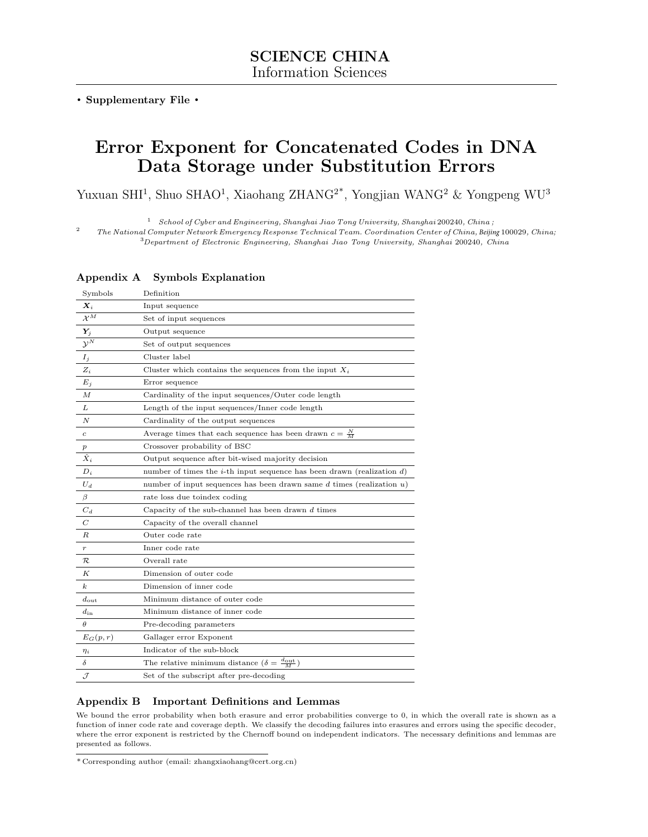. Supplementary File .

# Error Exponent for Concatenated Codes in DNA Data Storage under Substitution Errors

Yuxuan SHI<sup>1</sup>, Shuo SHAO<sup>1</sup>, Xiaohang ZHANG<sup>2\*</sup>, Yongjian WANG<sup>2</sup> & Yongpeng WU<sup>3</sup>

1 School of Cyber and Engineering, Shanghai Jiao Tong University, Shanghai 200240, China ;

2 The National Computer Network Emergency Response Technical Team. Coordination Center of China, *Beijing* 100029, China;

<sup>3</sup>Department of Electronic Engineering, Shanghai Jiao Tong University, Shanghai 200240, China

## Appendix A Symbols Explanation

| Symbols                     | Definition                                                                        |
|-----------------------------|-----------------------------------------------------------------------------------|
| $\boldsymbol{X}_i$          | Input sequence                                                                    |
| $\mathcal{X}^M$             | Set of input sequences                                                            |
| $\boldsymbol{Y}_j$          | Output sequence                                                                   |
| $\overline{\mathcal{Y}^N}$  | Set of output sequences                                                           |
| $I_j$                       | Cluster label                                                                     |
| $Z_i$                       | Cluster which contains the sequences from the input $X_i$                         |
| $E_j$                       | Error sequence                                                                    |
| $\boldsymbol{M}$            | Cardinality of the input sequences/Outer code length                              |
| L                           | Length of the input sequences/Inner code length                                   |
| N                           | Cardinality of the output sequences                                               |
| $\boldsymbol{c}$            | Average times that each sequence has been drawn $c = \frac{N}{M}$                 |
| $\boldsymbol{p}$            | Crossover probability of BSC                                                      |
| $\overline{\hat{X}_i}$      | Output sequence after bit-wised majority decision                                 |
| $D_i$                       | number of times the <i>i</i> -th input sequence has been drawn (realization $d$ ) |
| $U_d$                       | number of input sequences has been drawn same $d$ times (realization $u$ )        |
| $\beta$                     | rate loss due to index coding                                                     |
| $C_d$                       | Capacity of the sub-channel has been drawn $d$ times                              |
| $\overline{C}$              | Capacity of the overall channel                                                   |
| R                           | Outer code rate                                                                   |
| $\boldsymbol{r}$            | Inner code rate                                                                   |
| $\mathcal R$                | Overall rate                                                                      |
| K                           | Dimension of outer code                                                           |
| $\boldsymbol{k}$            | Dimension of inner code                                                           |
| $d_{\text{out}}$            | Minimum distance of outer code                                                    |
| $d_{\rm in}$                | Minimum distance of inner code                                                    |
| $\theta$                    | Pre-decoding parameters                                                           |
| $E_G(p,r)$                  | Gallager error Exponent                                                           |
| $\eta_i$                    | Indicator of the sub-block                                                        |
| $\delta$                    | The relative minimum distance $(\delta = \frac{d_{\text{out}}}{M})$               |
| $\mathcal{J}_{\mathcal{L}}$ | Set of the subscript after pre-decoding                                           |

# Appendix B Important Definitions and Lemmas

We bound the error probability when both erasure and error probabilities converge to 0, in which the overall rate is shown as a function of inner code rate and coverage depth. We classify the decoding failures into erasures and errors using the specific decoder, where the error exponent is restricted by the Chernoff bound on independent indicators. The necessary definitions and lemmas are presented as follows.

<sup>\*</sup> Corresponding author (email: zhangxiaohang@cert.org.cn)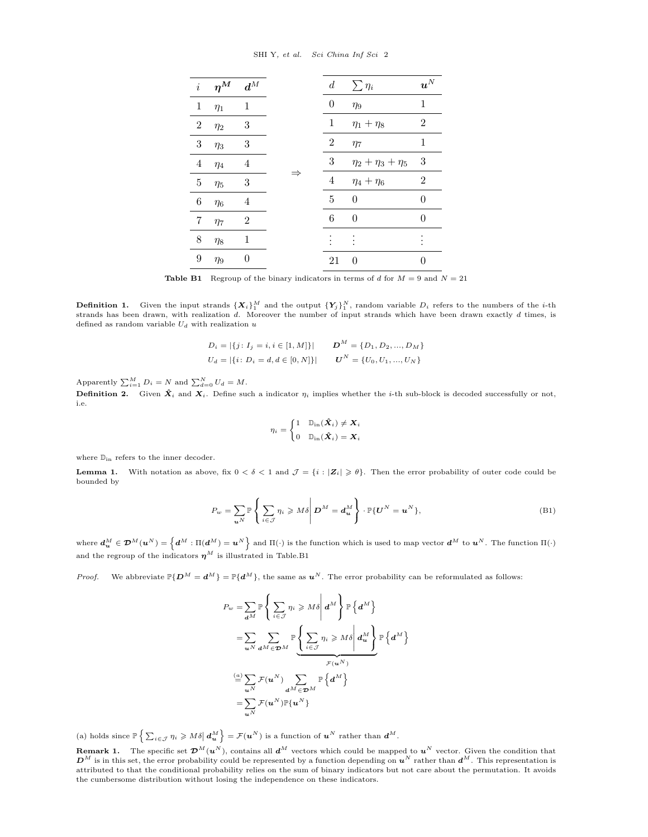SHI Y, et al. Sci China Inf Sci 2

<span id="page-1-0"></span>

| $\dot{i}$        | $\eta^M$ | $\boldsymbol{d}^M$ |  | $\boldsymbol{d}$ | $\sum_{i} \eta_i$          | $\boldsymbol{u}^N$ |
|------------------|----------|--------------------|--|------------------|----------------------------|--------------------|
| $\mathbf{1}$     | $\eta_1$ | 1                  |  | 0                | $\eta_9$                   | 1                  |
| $\boldsymbol{2}$ | $\eta_2$ | 3                  |  | 1                | $\eta_1 + \eta_8$          | $\overline{2}$     |
| 3                | $\eta_3$ | 3                  |  | 2                | $\eta_7$                   | 1                  |
| 4                | $\eta_4$ | 4                  |  | 3                | $\eta_2 + \eta_3 + \eta_5$ | $\sqrt{3}$         |
| 5                | $\eta_5$ | 3                  |  | 4                | $\eta_4 + \eta_6$          | $\overline{2}$     |
| 6                | $\eta_6$ | 4                  |  | 5                | 0                          | 0                  |
| 7                | $\eta_7$ | 2                  |  | 6                | 0                          | 0                  |
| 8                | $\eta_8$ | 1                  |  |                  |                            |                    |
| 9                | $\eta_9$ | 0                  |  | 21               | 0                          | 0                  |

**Table B1** Regroup of the binary indicators in terms of d for  $M = 9$  and  $N = 21$ 

**Definition 1.** Given the input strands  $\{X_i\}_1^M$  and the output  $\{Y_j\}_1^N$ , random variable  $D_i$  refers to the numbers of the *i*-th strands has been drawn, with realization  $d$ . Moreover the number of input strands which have been drawn exactly  $d$  times, is defined as random variable  $U_d$  with realization u

$$
D_i = |\{j: I_j = i, i \in [1, M]\}|
$$
  

$$
U_d = |\{i: D_i = d, d \in [0, N]\}|
$$
  

$$
U^N = \{U_0, U_1, ..., U_N\}
$$

Apparently  $\sum_{i=1}^{M} D_i = N$  and  $\sum_{d=0}^{N} U_d = M$ .

**Definition 2.** Given  $\hat{\mathbf{X}}_i$  and  $\mathbf{X}_i$ . Define such a indicator  $\eta_i$  implies whether the *i*-th sub-block is decoded successfully or not, i.e.

$$
\eta_i = \begin{cases} 1 & \mathbb{D}_\text{in}(\hat{\boldsymbol{X}}_i) \neq \boldsymbol{X}_i \\ 0 & \mathbb{D}_\text{in}(\hat{\boldsymbol{X}}_i) = \boldsymbol{X}_i \end{cases}
$$

where  $\mathbb{D}_{\text{in}}$  refers to the inner decoder.

**Lemma 1.** With notation as above, fix  $0 < \delta < 1$  and  $\mathcal{J} = \{i : |Z_i| \geq \theta\}$ . Then the error probability of outer code could be bounded by

$$
P_w = \sum_{u^N} \mathbb{P}\left\{\sum_{i \in \mathcal{J}} \eta_i \geqslant M\delta \middle| \mathbf{D}^M = \mathbf{d}_u^M\right\} \cdot \mathbb{P}\{\mathbf{U}^N = \mathbf{u}^N\},\tag{B1}
$$

where  $d_u^M \in \mathcal{D}^M(u^N) = \left\{ d^M : \Pi(d^M) = u^N \right\}$  and  $\Pi(\cdot)$  is the function which is used to map vector  $d^M$  to  $u^N$ . The function  $\Pi(\cdot)$ and the regroup of the indicators  $\boldsymbol{\eta}^M$  is illustrated in Table[.B1](#page-1-0)

*Proof.* We abbreviate  $\mathbb{P}\{D^M = d^M\} = \mathbb{P}\{d^M\}$ , the same as  $u^N$ . The error probability can be reformulated as follows:

$$
P_w = \sum_{a^M} \mathbb{P}\left\{\sum_{i \in \mathcal{J}} \eta_i \geqslant M\delta \middle| d^M \right\} \mathbb{P}\left\{d^M\right\}
$$
  
= 
$$
\sum_{a^N} \sum_{d^M \in \mathcal{D}^M} \mathbb{P}\left\{\sum_{i \in \mathcal{J}} \eta_i \geqslant M\delta \middle| d_u^M \right\} \mathbb{P}\left\{d^M\right\}
$$
  
= 
$$
\sum_{a^N} \mathcal{F}(u^N) \sum_{d^M \in \mathcal{D}^M} \mathbb{P}\left\{d^M\right\}
$$
  
= 
$$
\sum_{a^N} \mathcal{F}(u^N) \mathbb{P}\left\{u^N\right\}
$$

(a) holds since  $\mathbb{P}\left\{\sum_{i\in\mathcal{J}}\eta_i\geqslant M\delta\big|\,\boldsymbol{d}_u^M\right\}=\mathcal{F}(\boldsymbol{u}^N)$  is a function of  $\boldsymbol{u}^N$  rather than  $\boldsymbol{d}^M$ .

**Remark 1.** The specific set  $\mathcal{D}^{M}(u^{N})$ , contains all  $d^{M}$  vectors which could be mapped to  $u^{N}$  vector. Given the condition that  $\mathbf{D}^M$  is in this set, the error probability could be represented by a function depending on  $\mathbf{u}^N$  rather than  $\mathbf{d}^M$ . This representation is attributed to that the conditional probability relies on the sum of binary indicators but not care about the permutation. It avoids the cumbersome distribution without losing the independence on these indicators.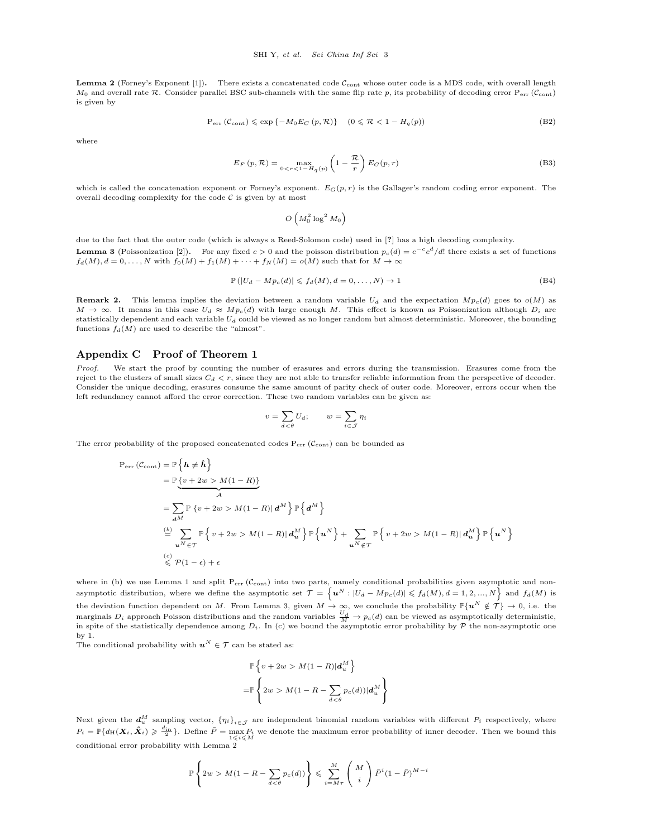**Lemma 2** (Forney's Exponent [\[1\]](#page-3-0)). There exists a concatenated code  $\mathcal{C}_{\text{cont}}$  whose outer code is a MDS code, with overall length  $M_0$  and overall rate R. Consider parallel BSC sub-channels with the same flip rate p, its probability of decoding error  $P_{err}$  ( $C_{cont}$ ) is given by

$$
P_{err}(\mathcal{C}_{cont}) \le \exp\{-M_0 E_C(p, \mathcal{R})\} \quad (0 \le \mathcal{R} < 1 - H_q(p)) \tag{B2}
$$

where

$$
E_F(p, \mathcal{R}) = \max_{0 < r < 1 - H_q(p)} \left( 1 - \frac{\mathcal{R}}{r} \right) E_G(p, r) \tag{B3}
$$

which is called the concatenation exponent or Forney's exponent.  $E_G(p, r)$  is the Gallager's random coding error exponent. The overall decoding complexity for the code  $C$  is given by at most

$$
O\left(M_0^2\log^2M_0\right)
$$

due to the fact that the outer code (which is always a Reed-Solomon code) used in [?] has a high decoding complexity. **Lemma 3** (Poissonization [\[2\]](#page-3-1)). For any fixed  $c > 0$  and the poisson distribution  $p_c(d) = e^{-c}c^d/d!$  there exists a set of functions  $f_d(M), d = 0, \ldots, N$  with  $f_0(M) + f_1(M) + \cdots + f_N(M) = o(M)$  such that for  $M \to \infty$ 

$$
\mathbb{P}\left(|U_d - Mp_c(d)| \leqslant f_d(M), d = 0, \dots, N\right) \to 1\tag{B4}
$$

**Remark 2.** This lemma implies the deviation between a random variable  $U_d$  and the expectation  $Mp_c(d)$  goes to  $o(M)$  as  $M \to \infty$ . It means in this case  $U_d \approx Mpc(d)$  with large enough M. This effect is known as Poissonization although  $D_i$  are statistically dependent and each variable  $U_d$  could be viewed as no longer random but almost deterministic. Moreover, the bounding functions  $f_d(M)$  are used to describe the "almost".

## Appendix C Proof of Theorem 1

Proof. We start the proof by counting the number of erasures and errors during the transmission. Erasures come from the reject to the clusters of small sizes  $C_d < r$ , since they are not able to transfer reliable information from the perspective of decoder. Consider the unique decoding, erasures consume the same amount of parity check of outer code. Moreover, errors occur when the left redundancy cannot afford the error correction. These two random variables can be given as:

$$
v = \sum_{d < \theta} U_d; \qquad w = \sum_{i \in \mathcal{J}} \eta_i
$$

The error probability of the proposed concatenated codes  $P_{err}(\mathcal{C}_{cont})$  can be bounded as

$$
P_{err} (\mathcal{C}_{cont}) = \mathbb{P} \{ h \neq \hat{h} \}
$$
  
\n
$$
= \mathbb{P} \{ v + 2w > M(1 - R) \}
$$
  
\n
$$
= \sum_{d^{M}} \mathbb{P} \{ v + 2w > M(1 - R) | d^{M} \} \mathbb{P} \{ d^{M} \}
$$
  
\n
$$
\stackrel{(b)}{=} \sum_{u^{N} \in \mathcal{T}} \mathbb{P} \{ v + 2w > M(1 - R) | d^{M}_{u} \} \mathbb{P} \{ u^{N} \} + \sum_{u^{N} \notin \mathcal{T}} \mathbb{P} \{ v + 2w > M(1 - R) | d^{M}_{u} \} \mathbb{P} \{ u^{N} \}
$$
  
\n
$$
\stackrel{(c)}{\leq} \mathcal{P} (1 - \epsilon) + \epsilon
$$

where in (b) we use Lemma 1 and split  $P_{err}(\mathcal{C}_{cont})$  into two parts, namely conditional probabilities given asymptotic and nonasymptotic distribution, where we define the asymptotic set  $\mathcal{T} = \left\{ \bm{u}^N : |U_d - M p_c(d)| \leqslant f_d(M), d = 1, 2, ..., N \right\}$  and  $f_d(M)$  is the deviation function dependent on M. From Lemma 3, given  $M \to \infty$ , we conclude the probability  $\mathbb{P}\{u^N \notin \mathcal{T}\} \to 0$ , i.e. the marginals  $D_i$  approach Poisson distributions and the random variables  $\frac{U_d}{M} \to p_c(d)$  can be viewed as asymptotically deterministic, in spite of the statistically dependence among  $D_i$ . In (c) we bound the asymptotic error probability by  $\mathcal P$  the non-asymptotic one by 1.

The conditional probability with  $u^N \in \mathcal{T}$  can be stated as:

$$
\mathbb{P}\left\{v+2w > M(1-R)|\boldsymbol{d}_u^M\right\}
$$
  
= 
$$
\mathbb{P}\left\{2w > M(1-R-\sum_{d<\theta}p_c(d))|\boldsymbol{d}_u^M\right\}
$$

Next given the  $d_u^M$  sampling vector,  ${\{\eta_i\}}_{i \in \mathcal{J}}$  are independent binomial random variables with different  $P_i$  respectively, where  $P_i = \mathbb{P}\{d_H(\boldsymbol{X}_i, \hat{\boldsymbol{X}}_i) \geqslant \frac{d_{\text{in}}}{2}\}.$  Define  $\bar{P} = \max_{1 \leqslant i \leqslant M} P_i$  we denote the maximum error probability of inner decoder. Then we bound this conditional error probability with Lemma 2

$$
\mathbb{P}\left\{2w > M(1 - R - \sum_{d < \theta} p_c(d))\right\} \leq \sum_{i=M\tau}^{M} \binom{M}{i} \bar{P}^i (1 - \bar{P})^{M-i}
$$